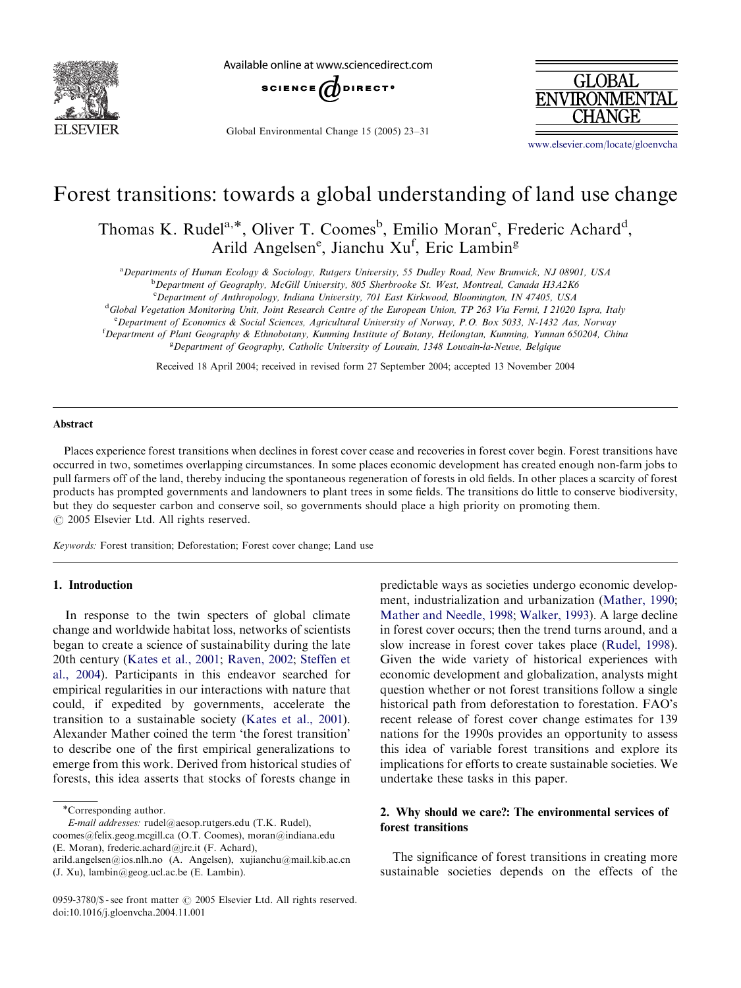

Available online at www.sciencedirect.com



Global Environmental Change 15 (2005) 23–31



<www.elsevier.com/locate/gloenvcha>

# Forest transitions: towards a global understanding of land use change

Thomas K. Rudel<sup>a,\*</sup>, Oliver T. Coomes<sup>b</sup>, Emilio Moran<sup>c</sup>, Frederic Achard<sup>d</sup>, Arild Angelsen<sup>e</sup>, Jianchu Xu<sup>f</sup>, Eric Lambin<sup>g</sup>

a Departments of Human Ecology & Sociology, Rutgers University, 55 Dudley Road, New Brunwick, NJ 08901, USA

<sup>b</sup>Department of Geography, McGill University, 805 Sherbrooke St. West, Montreal, Canada H3A2K6

<sup>c</sup>Department of Anthropology, Indiana University, 701 East Kirkwood, Bloomington, IN 47405, USA

<sup>d</sup>Global Vegetation Monitoring Unit, Joint Research Centre of the European Union, TP 263 Via Fermi, I 21020 Ispra, Italy

e Department of Economics & Social Sciences, Agricultural University of Norway, P.O. Box 5033, N-1432 Aas, Norway

f Department of Plant Geography & Ethnobotany, Kunming Institute of Botany, Heilongtan, Kunming, Yunnan 650204, China

<sup>g</sup> Department of Geography, Catholic University of Louvain, 1348 Louvain-la-Neuve, Belgique

Received 18 April 2004; received in revised form 27 September 2004; accepted 13 November 2004

#### Abstract

Places experience forest transitions when declines in forest cover cease and recoveries in forest cover begin. Forest transitions have occurred in two, sometimes overlapping circumstances. In some places economic development has created enough non-farm jobs to pull farmers off of the land, thereby inducing the spontaneous regeneration of forests in old fields. In other places a scarcity of forest products has prompted governments and landowners to plant trees in some fields. The transitions do little to conserve biodiversity, but they do sequester carbon and conserve soil, so governments should place a high priority on promoting them.  $\odot$  2005 Elsevier Ltd. All rights reserved.

Keywords: Forest transition; Deforestation; Forest cover change; Land use

# 1. Introduction

In response to the twin specters of global climate change and worldwide habitat loss, networks of scientists began to create a science of sustainability during the late 20th century [\(Kates et al., 2001;](#page-7-0) [Raven, 2002;](#page-8-0) [Steffen et](#page-8-0) [al., 2004\)](#page-8-0). Participants in this endeavor searched for empirical regularities in our interactions with nature that could, if expedited by governments, accelerate the transition to a sustainable society ([Kates et al., 2001\)](#page-7-0). Alexander Mather coined the term 'the forest transition' to describe one of the first empirical generalizations to emerge from this work. Derived from historical studies of forests, this idea asserts that stocks of forests change in

E-mail addresses: rudel@aesop.rutgers.edu (T.K. Rudel), coomes@felix.geog.mcgill.ca (O.T. Coomes), moran@indiana.edu

(E. Moran), frederic.achard@jrc.it (F. Achard),

predictable ways as societies undergo economic development, industrialization and urbanization ([Mather, 1990;](#page-8-0) [Mather and Needle, 1998](#page-8-0); [Walker, 1993](#page-8-0)). A large decline in forest cover occurs; then the trend turns around, and a slow increase in forest cover takes place [\(Rudel, 1998\)](#page-8-0). Given the wide variety of historical experiences with economic development and globalization, analysts might question whether or not forest transitions follow a single historical path from deforestation to forestation. FAO's recent release of forest cover change estimates for 139 nations for the 1990s provides an opportunity to assess this idea of variable forest transitions and explore its implications for efforts to create sustainable societies. We undertake these tasks in this paper.

# 2. Why should we care?: The environmental services of forest transitions

The significance of forest transitions in creating more sustainable societies depends on the effects of the

Corresponding author.

arild.angelsen@ios.nlh.no (A. Angelsen), xujianchu@mail.kib.ac.cn (J. Xu), lambin@geog.ucl.ac.be (E. Lambin).

<sup>0959-3780/\$ -</sup> see front matter  $\odot$  2005 Elsevier Ltd. All rights reserved. doi:10.1016/j.gloenvcha.2004.11.001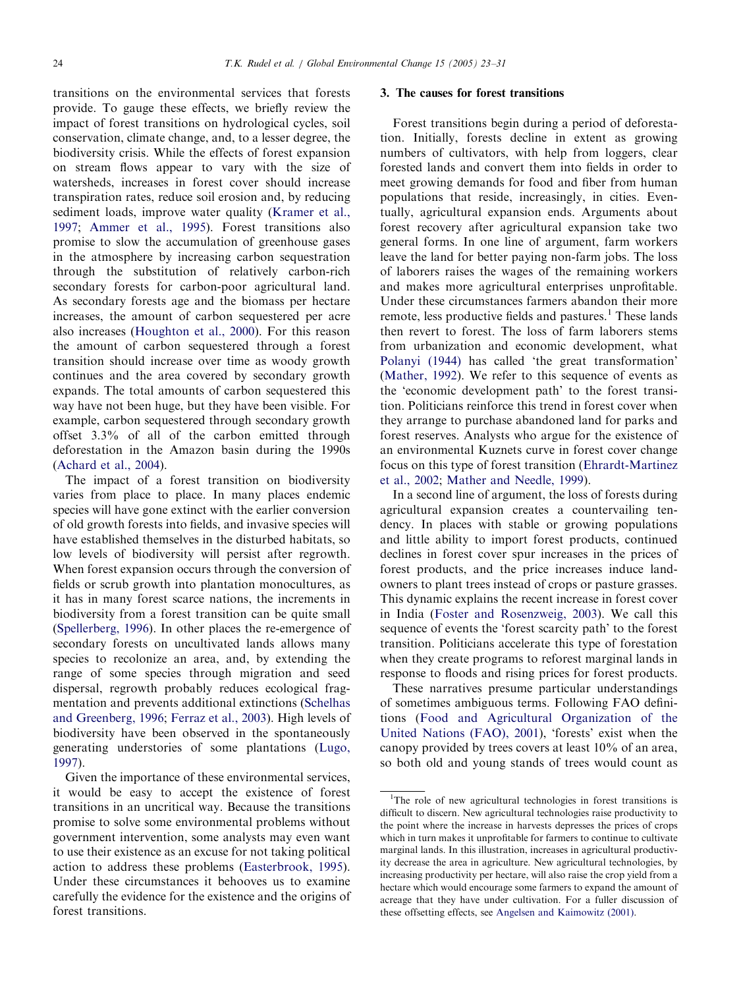transitions on the environmental services that forests provide. To gauge these effects, we briefly review the impact of forest transitions on hydrological cycles, soil conservation, climate change, and, to a lesser degree, the biodiversity crisis. While the effects of forest expansion on stream flows appear to vary with the size of watersheds, increases in forest cover should increase transpiration rates, reduce soil erosion and, by reducing sediment loads, improve water quality ([Kramer et al.,](#page-8-0) [1997](#page-8-0); [Ammer et al., 1995](#page-7-0)). Forest transitions also promise to slow the accumulation of greenhouse gases in the atmosphere by increasing carbon sequestration through the substitution of relatively carbon-rich secondary forests for carbon-poor agricultural land. As secondary forests age and the biomass per hectare increases, the amount of carbon sequestered per acre also increases [\(Houghton et al., 2000\)](#page-7-0). For this reason the amount of carbon sequestered through a forest transition should increase over time as woody growth continues and the area covered by secondary growth expands. The total amounts of carbon sequestered this way have not been huge, but they have been visible. For example, carbon sequestered through secondary growth offset 3.3% of all of the carbon emitted through deforestation in the Amazon basin during the 1990s ([Achard et al., 2004](#page-7-0)).

The impact of a forest transition on biodiversity varies from place to place. In many places endemic species will have gone extinct with the earlier conversion of old growth forests into fields, and invasive species will have established themselves in the disturbed habitats, so low levels of biodiversity will persist after regrowth. When forest expansion occurs through the conversion of fields or scrub growth into plantation monocultures, as it has in many forest scarce nations, the increments in biodiversity from a forest transition can be quite small ([Spellerberg, 1996\)](#page-8-0). In other places the re-emergence of secondary forests on uncultivated lands allows many species to recolonize an area, and, by extending the range of some species through migration and seed dispersal, regrowth probably reduces ecological fragmentation and prevents additional extinctions ([Schelhas](#page-8-0) [and Greenberg, 1996;](#page-8-0) [Ferraz et al., 2003](#page-7-0)). High levels of biodiversity have been observed in the spontaneously generating understories of some plantations [\(Lugo,](#page-8-0) [1997](#page-8-0)).

Given the importance of these environmental services, it would be easy to accept the existence of forest transitions in an uncritical way. Because the transitions promise to solve some environmental problems without government intervention, some analysts may even want to use their existence as an excuse for not taking political action to address these problems ([Easterbrook, 1995\)](#page-7-0). Under these circumstances it behooves us to examine carefully the evidence for the existence and the origins of forest transitions.

# 3. The causes for forest transitions

Forest transitions begin during a period of deforestation. Initially, forests decline in extent as growing numbers of cultivators, with help from loggers, clear forested lands and convert them into fields in order to meet growing demands for food and fiber from human populations that reside, increasingly, in cities. Eventually, agricultural expansion ends. Arguments about forest recovery after agricultural expansion take two general forms. In one line of argument, farm workers leave the land for better paying non-farm jobs. The loss of laborers raises the wages of the remaining workers and makes more agricultural enterprises unprofitable. Under these circumstances farmers abandon their more remote, less productive fields and pastures.<sup>1</sup> These lands then revert to forest. The loss of farm laborers stems from urbanization and economic development, what [Polanyi \(1944\)](#page-8-0) has called 'the great transformation' ([Mather, 1992](#page-8-0)). We refer to this sequence of events as the 'economic development path' to the forest transition. Politicians reinforce this trend in forest cover when they arrange to purchase abandoned land for parks and forest reserves. Analysts who argue for the existence of an environmental Kuznets curve in forest cover change focus on this type of forest transition ([Ehrardt-Martinez](#page-7-0) [et al., 2002;](#page-7-0) [Mather and Needle, 1999](#page-8-0)).

In a second line of argument, the loss of forests during agricultural expansion creates a countervailing tendency. In places with stable or growing populations and little ability to import forest products, continued declines in forest cover spur increases in the prices of forest products, and the price increases induce landowners to plant trees instead of crops or pasture grasses. This dynamic explains the recent increase in forest cover in India [\(Foster and Rosenzweig, 2003](#page-7-0)). We call this sequence of events the 'forest scarcity path' to the forest transition. Politicians accelerate this type of forestation when they create programs to reforest marginal lands in response to floods and rising prices for forest products.

These narratives presume particular understandings of sometimes ambiguous terms. Following FAO definitions [\(Food and Agricultural Organization of the](#page-7-0) [United Nations \(FAO\), 2001](#page-7-0)), 'forests' exist when the canopy provided by trees covers at least 10% of an area, so both old and young stands of trees would count as

<sup>&</sup>lt;sup>1</sup>The role of new agricultural technologies in forest transitions is difficult to discern. New agricultural technologies raise productivity to the point where the increase in harvests depresses the prices of crops which in turn makes it unprofitable for farmers to continue to cultivate marginal lands. In this illustration, increases in agricultural productivity decrease the area in agriculture. New agricultural technologies, by increasing productivity per hectare, will also raise the crop yield from a hectare which would encourage some farmers to expand the amount of acreage that they have under cultivation. For a fuller discussion of these offsetting effects, see [Angelsen and Kaimowitz \(2001\)](#page-7-0).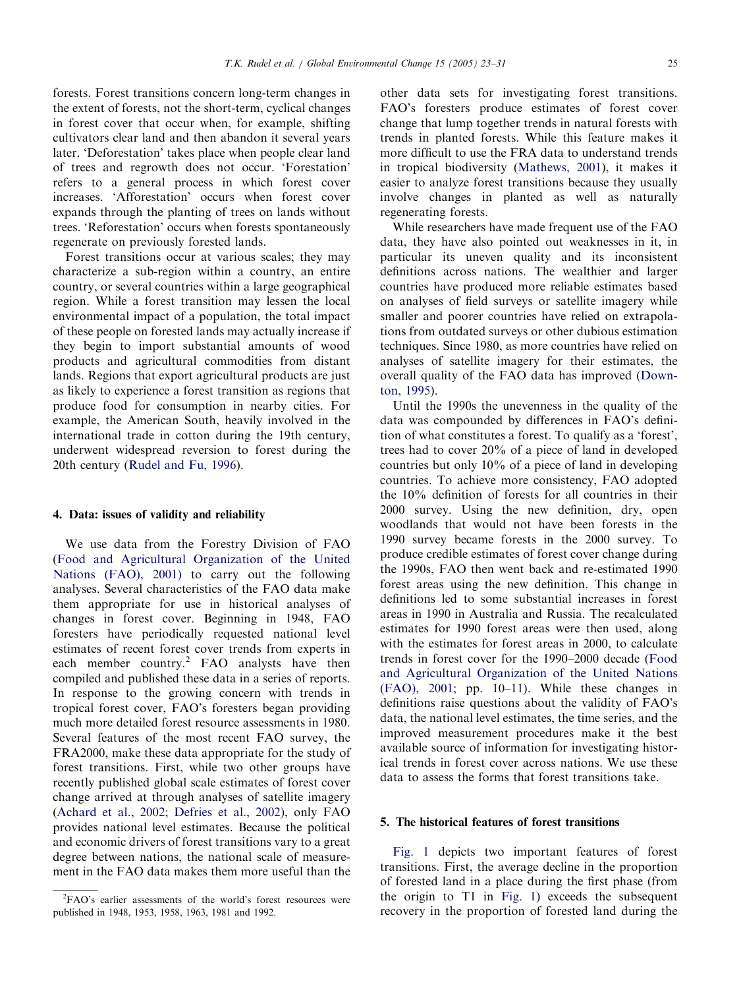forests. Forest transitions concern long-term changes in the extent of forests, not the short-term, cyclical changes in forest cover that occur when, for example, shifting cultivators clear land and then abandon it several years later. 'Deforestation' takes place when people clear land of trees and regrowth does not occur. 'Forestation' refers to a general process in which forest cover increases. 'Afforestation' occurs when forest cover expands through the planting of trees on lands without trees. 'Reforestation' occurs when forests spontaneously regenerate on previously forested lands.

Forest transitions occur at various scales; they may characterize a sub-region within a country, an entire country, or several countries within a large geographical region. While a forest transition may lessen the local environmental impact of a population, the total impact of these people on forested lands may actually increase if they begin to import substantial amounts of wood products and agricultural commodities from distant lands. Regions that export agricultural products are just as likely to experience a forest transition as regions that produce food for consumption in nearby cities. For example, the American South, heavily involved in the international trade in cotton during the 19th century, underwent widespread reversion to forest during the 20th century [\(Rudel and Fu, 1996\)](#page-8-0).

# 4. Data: issues of validity and reliability

We use data from the Forestry Division of FAO ([Food and Agricultural Organization of the United](#page-7-0) [Nations \(FAO\), 2001\)](#page-7-0) to carry out the following analyses. Several characteristics of the FAO data make them appropriate for use in historical analyses of changes in forest cover. Beginning in 1948, FAO foresters have periodically requested national level estimates of recent forest cover trends from experts in each member country.<sup>2</sup> FAO analysts have then compiled and published these data in a series of reports. In response to the growing concern with trends in tropical forest cover, FAO's foresters began providing much more detailed forest resource assessments in 1980. Several features of the most recent FAO survey, the FRA2000, make these data appropriate for the study of forest transitions. First, while two other groups have recently published global scale estimates of forest cover change arrived at through analyses of satellite imagery ([Achard et al., 2002;](#page-7-0) [Defries et al., 2002](#page-7-0)), only FAO provides national level estimates. Because the political and economic drivers of forest transitions vary to a great degree between nations, the national scale of measurement in the FAO data makes them more useful than the

other data sets for investigating forest transitions. FAO's foresters produce estimates of forest cover change that lump together trends in natural forests with trends in planted forests. While this feature makes it more difficult to use the FRA data to understand trends in tropical biodiversity [\(Mathews, 2001](#page-8-0)), it makes it easier to analyze forest transitions because they usually involve changes in planted as well as naturally regenerating forests.

While researchers have made frequent use of the FAO data, they have also pointed out weaknesses in it, in particular its uneven quality and its inconsistent definitions across nations. The wealthier and larger countries have produced more reliable estimates based on analyses of field surveys or satellite imagery while smaller and poorer countries have relied on extrapolations from outdated surveys or other dubious estimation techniques. Since 1980, as more countries have relied on analyses of satellite imagery for their estimates, the overall quality of the FAO data has improved ([Down](#page-7-0)[ton, 1995\)](#page-7-0).

Until the 1990s the unevenness in the quality of the data was compounded by differences in FAO's definition of what constitutes a forest. To qualify as a 'forest', trees had to cover 20% of a piece of land in developed countries but only 10% of a piece of land in developing countries. To achieve more consistency, FAO adopted the 10% definition of forests for all countries in their 2000 survey. Using the new definition, dry, open woodlands that would not have been forests in the 1990 survey became forests in the 2000 survey. To produce credible estimates of forest cover change during the 1990s, FAO then went back and re-estimated 1990 forest areas using the new definition. This change in definitions led to some substantial increases in forest areas in 1990 in Australia and Russia. The recalculated estimates for 1990 forest areas were then used, along with the estimates for forest areas in 2000, to calculate trends in forest cover for the 1990–2000 decade [\(Food](#page-7-0) [and Agricultural Organization of the United Nations](#page-7-0) [\(FAO\), 2001](#page-7-0); pp. 10–11). While these changes in definitions raise questions about the validity of FAO's data, the national level estimates, the time series, and the improved measurement procedures make it the best available source of information for investigating historical trends in forest cover across nations. We use these data to assess the forms that forest transitions take.

# 5. The historical features of forest transitions

[Fig. 1](#page-3-0) depicts two important features of forest transitions. First, the average decline in the proportion of forested land in a place during the first phase (from the origin to T1 in [Fig. 1\)](#page-3-0) exceeds the subsequent recovery in the proportion of forested land during the

<sup>2</sup> FAO's earlier assessments of the world's forest resources were published in 1948, 1953, 1958, 1963, 1981 and 1992.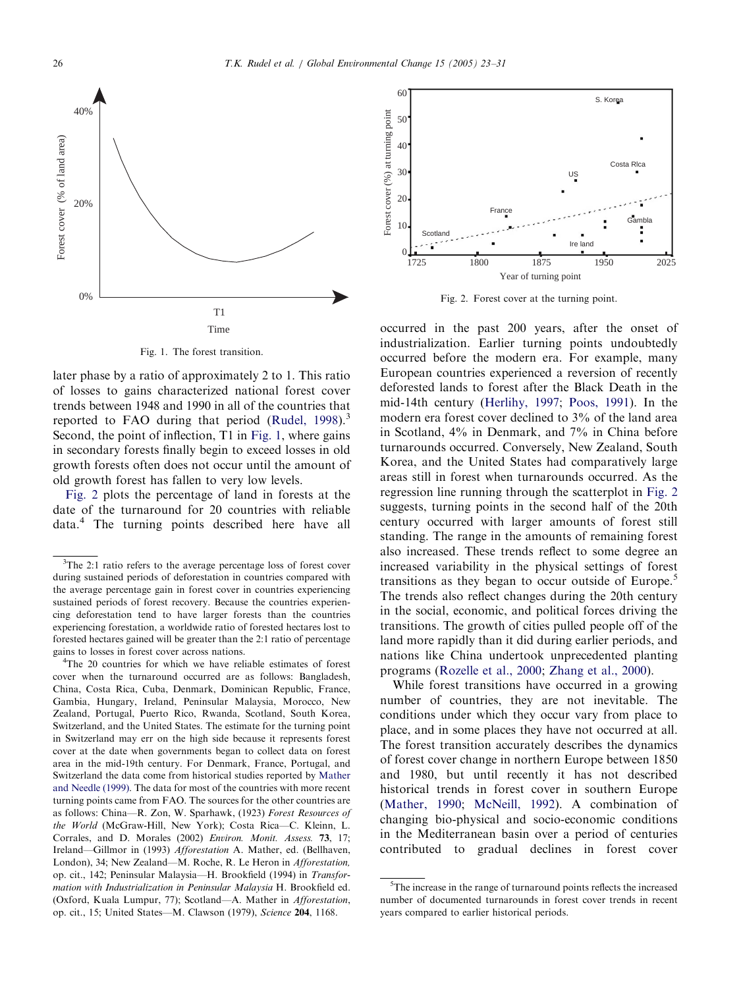<span id="page-3-0"></span>

60 S. Korea Forest cover (%) at turning point Forest cover (%) at turning point 50 40 Costa Rlca 30 US 20 France **Gambla** 10 **Scotland** ÷ Ire land  $\mathcal{C}$ 1725 1800 1875 1950 2025 Year of turning point

Fig. 2. Forest cover at the turning point.

Fig. 1. The forest transition.

later phase by a ratio of approximately 2 to 1. This ratio of losses to gains characterized national forest cover trends between 1948 and 1990 in all of the countries that reported to FAO during that period (Rudel,  $1998$ ).<sup>3</sup> Second, the point of inflection, T1 in Fig. 1, where gains in secondary forests finally begin to exceed losses in old growth forests often does not occur until the amount of old growth forest has fallen to very low levels.

Fig. 2 plots the percentage of land in forests at the date of the turnaround for 20 countries with reliable data.<sup>4</sup> The turning points described here have all

<sup>4</sup>The 20 countries for which we have reliable estimates of forest cover when the turnaround occurred are as follows: Bangladesh, China, Costa Rica, Cuba, Denmark, Dominican Republic, France, Gambia, Hungary, Ireland, Peninsular Malaysia, Morocco, New Zealand, Portugal, Puerto Rico, Rwanda, Scotland, South Korea, Switzerland, and the United States. The estimate for the turning point in Switzerland may err on the high side because it represents forest cover at the date when governments began to collect data on forest area in the mid-19th century. For Denmark, France, Portugal, and Switzerland the data come from historical studies reported by [Mather](#page-8-0) [and Needle \(1999\).](#page-8-0) The data for most of the countries with more recent turning points came from FAO. The sources for the other countries are as follows: China—R. Zon, W. Sparhawk, (1923) Forest Resources of the World (McGraw-Hill, New York); Costa Rica—C. Kleinn, L. Corrales, and D. Morales (2002) Environ. Monit. Assess. 73, 17; Ireland—Gillmor in (1993) Afforestation A. Mather, ed. (Bellhaven, London), 34; New Zealand—M. Roche, R. Le Heron in Afforestation, op. cit., 142; Peninsular Malaysia—H. Brookfield (1994) in Transformation with Industrialization in Peninsular Malaysia H. Brookfield ed. (Oxford, Kuala Lumpur, 77); Scotland—A. Mather in Afforestation, op. cit., 15; United States—M. Clawson (1979), Science 204, 1168.

occurred in the past 200 years, after the onset of industrialization. Earlier turning points undoubtedly occurred before the modern era. For example, many European countries experienced a reversion of recently deforested lands to forest after the Black Death in the mid-14th century [\(Herlihy, 1997;](#page-7-0) [Poos, 1991\)](#page-8-0). In the modern era forest cover declined to 3% of the land area in Scotland, 4% in Denmark, and 7% in China before turnarounds occurred. Conversely, New Zealand, South Korea, and the United States had comparatively large areas still in forest when turnarounds occurred. As the regression line running through the scatterplot in Fig. 2 suggests, turning points in the second half of the 20th century occurred with larger amounts of forest still standing. The range in the amounts of remaining forest also increased. These trends reflect to some degree an increased variability in the physical settings of forest transitions as they began to occur outside of Europe.<sup>5</sup> The trends also reflect changes during the 20th century in the social, economic, and political forces driving the transitions. The growth of cities pulled people off of the land more rapidly than it did during earlier periods, and nations like China undertook unprecedented planting programs ([Rozelle et al., 2000](#page-8-0); [Zhang et al., 2000\)](#page-8-0).

While forest transitions have occurred in a growing number of countries, they are not inevitable. The conditions under which they occur vary from place to place, and in some places they have not occurred at all. The forest transition accurately describes the dynamics of forest cover change in northern Europe between 1850 and 1980, but until recently it has not described historical trends in forest cover in southern Europe ([Mather, 1990;](#page-8-0) [McNeill, 1992](#page-8-0)). A combination of changing bio-physical and socio-economic conditions in the Mediterranean basin over a period of centuries contributed to gradual declines in forest cover

 $3$ The 2:1 ratio refers to the average percentage loss of forest cover during sustained periods of deforestation in countries compared with the average percentage gain in forest cover in countries experiencing sustained periods of forest recovery. Because the countries experiencing deforestation tend to have larger forests than the countries experiencing forestation, a worldwide ratio of forested hectares lost to forested hectares gained will be greater than the 2:1 ratio of percentage gains to losses in forest cover across nations. <sup>4</sup>

<sup>&</sup>lt;sup>5</sup>The increase in the range of turnaround points reflects the increased number of documented turnarounds in forest cover trends in recent years compared to earlier historical periods.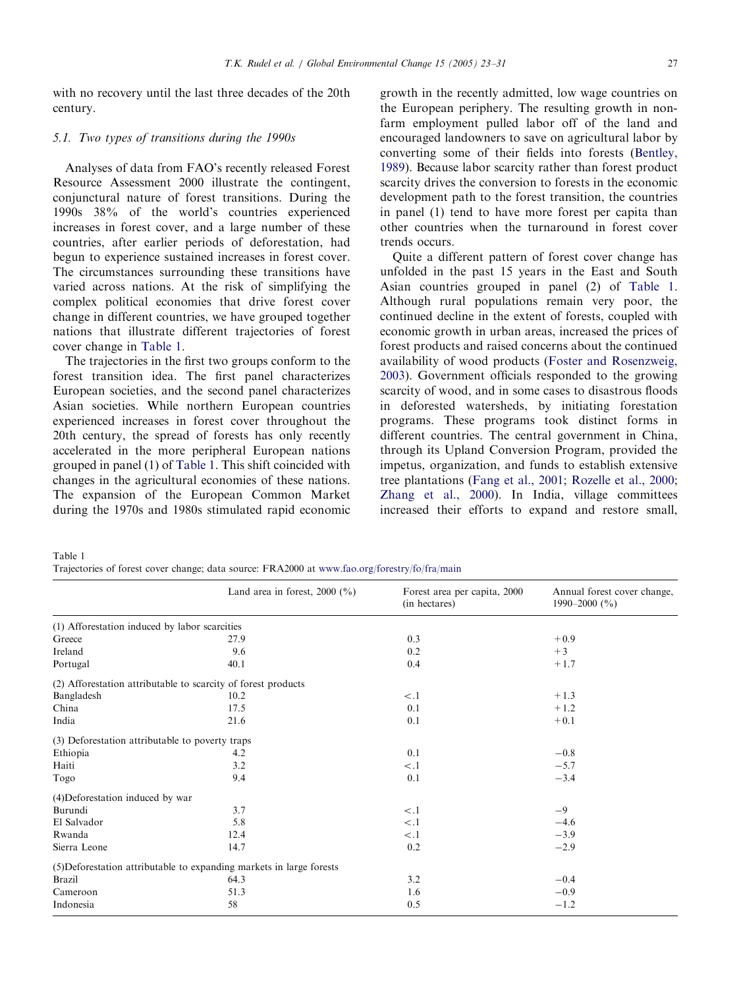<span id="page-4-0"></span>with no recovery until the last three decades of the 20th century.

# 5.1. Two types of transitions during the 1990s

Analyses of data from FAO's recently released Forest Resource Assessment 2000 illustrate the contingent, conjunctural nature of forest transitions. During the 1990s 38% of the world's countries experienced increases in forest cover, and a large number of these countries, after earlier periods of deforestation, had begun to experience sustained increases in forest cover. The circumstances surrounding these transitions have varied across nations. At the risk of simplifying the complex political economies that drive forest cover change in different countries, we have grouped together nations that illustrate different trajectories of forest cover change in Table 1.

The trajectories in the first two groups conform to the forest transition idea. The first panel characterizes European societies, and the second panel characterizes Asian societies. While northern European countries experienced increases in forest cover throughout the 20th century, the spread of forests has only recently accelerated in the more peripheral European nations grouped in panel (1) of Table 1. This shift coincided with changes in the agricultural economies of these nations. The expansion of the European Common Market during the 1970s and 1980s stimulated rapid economic growth in the recently admitted, low wage countries on the European periphery. The resulting growth in nonfarm employment pulled labor off of the land and encouraged landowners to save on agricultural labor by converting some of their fields into forests ([Bentley,](#page-7-0) [1989](#page-7-0)). Because labor scarcity rather than forest product scarcity drives the conversion to forests in the economic development path to the forest transition, the countries in panel (1) tend to have more forest per capita than other countries when the turnaround in forest cover trends occurs.

Quite a different pattern of forest cover change has unfolded in the past 15 years in the East and South Asian countries grouped in panel (2) of Table 1. Although rural populations remain very poor, the continued decline in the extent of forests, coupled with economic growth in urban areas, increased the prices of forest products and raised concerns about the continued availability of wood products ([Foster and Rosenzweig,](#page-7-0) [2003](#page-7-0)). Government officials responded to the growing scarcity of wood, and in some cases to disastrous floods in deforested watersheds, by initiating forestation programs. These programs took distinct forms in different countries. The central government in China, through its Upland Conversion Program, provided the impetus, organization, and funds to establish extensive tree plantations ([Fang et al., 2001;](#page-7-0) [Rozelle et al., 2000;](#page-8-0) [Zhang et al., 2000](#page-8-0)). In India, village committees increased their efforts to expand and restore small,

Table 1

Trajectories of forest cover change; data source: FRA2000 at [www.fao.org/forestry/fo/fra/main](http://www.fao.org/forestry/fo/fra/main)

|                                                               | Land area in forest, $2000$ (%)                                      | Forest area per capita, 2000<br>(in hectares) | Annual forest cover change,<br>1990–2000 $(\frac{9}{6})$ |
|---------------------------------------------------------------|----------------------------------------------------------------------|-----------------------------------------------|----------------------------------------------------------|
| (1) Afforestation induced by labor scarcities                 |                                                                      |                                               |                                                          |
| Greece                                                        | 27.9                                                                 | 0.3                                           | $+0.9$                                                   |
| Ireland                                                       | 9.6                                                                  | 0.2                                           | $+3$                                                     |
| Portugal                                                      | 40.1                                                                 | 0.4                                           | $+1.7$                                                   |
| (2) Afforestation attributable to scarcity of forest products |                                                                      |                                               |                                                          |
| Bangladesh                                                    | 10.2                                                                 | $\lt$ .1                                      | $+1.3$                                                   |
| China                                                         | 17.5                                                                 | 0.1                                           | $+1.2$                                                   |
| India                                                         | 21.6                                                                 | 0.1                                           | $+0.1$                                                   |
| (3) Deforestation attributable to poverty traps               |                                                                      |                                               |                                                          |
| Ethiopia                                                      | 4.2                                                                  | 0.1                                           | $-0.8$                                                   |
| Haiti                                                         | 3.2                                                                  | $\lt.1$                                       | $-5.7$                                                   |
| Togo                                                          | 9.4                                                                  | 0.1                                           | $-3.4$                                                   |
| (4) Deforestation induced by war                              |                                                                      |                                               |                                                          |
| Burundi                                                       | 3.7                                                                  | $\lt.1$                                       | $-9$                                                     |
| El Salvador                                                   | 5.8                                                                  | $\lt.1$                                       | $-4.6$                                                   |
| Rwanda                                                        | 12.4                                                                 | $\lt.1$                                       | $-3.9$                                                   |
| Sierra Leone                                                  | 14.7                                                                 | 0.2                                           | $-2.9$                                                   |
|                                                               | (5) Deforestation attributable to expanding markets in large forests |                                               |                                                          |
| Brazil                                                        | 64.3                                                                 | 3.2                                           | $-0.4$                                                   |
| Cameroon                                                      | 51.3                                                                 | 1.6                                           | $-0.9$                                                   |
| Indonesia                                                     | 58                                                                   | 0.5                                           | $-1.2$                                                   |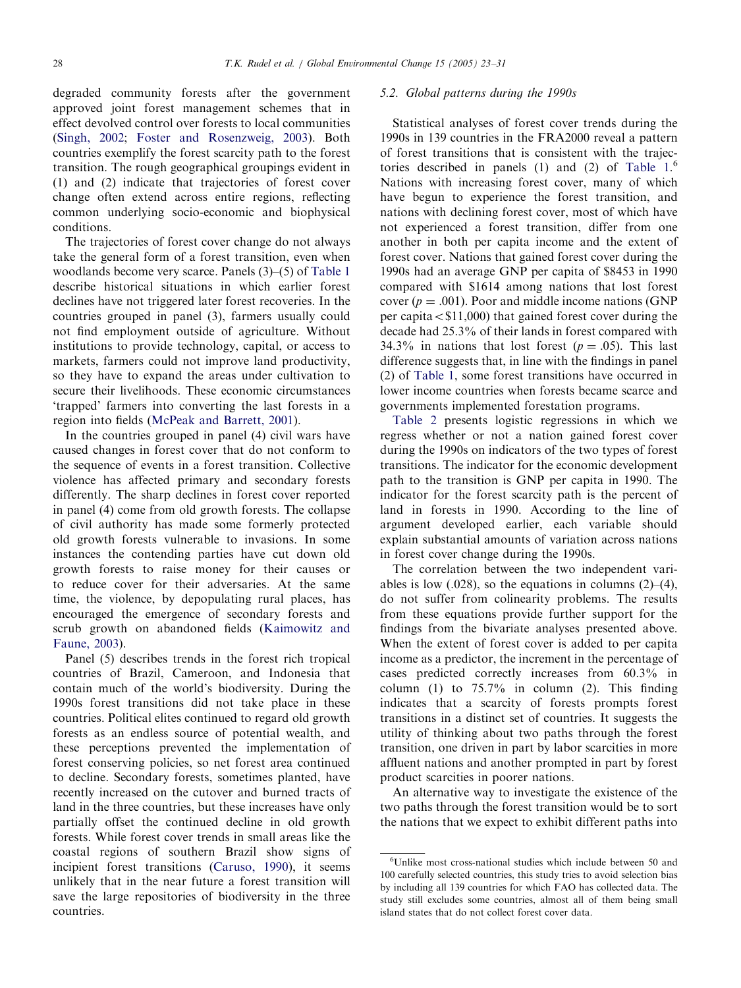degraded community forests after the government approved joint forest management schemes that in effect devolved control over forests to local communities ([Singh, 2002;](#page-8-0) [Foster and Rosenzweig, 2003\)](#page-7-0). Both countries exemplify the forest scarcity path to the forest transition. The rough geographical groupings evident in (1) and (2) indicate that trajectories of forest cover change often extend across entire regions, reflecting common underlying socio-economic and biophysical conditions.

The trajectories of forest cover change do not always take the general form of a forest transition, even when woodlands become very scarce. Panels (3)–(5) of [Table 1](#page-4-0) describe historical situations in which earlier forest declines have not triggered later forest recoveries. In the countries grouped in panel (3), farmers usually could not find employment outside of agriculture. Without institutions to provide technology, capital, or access to markets, farmers could not improve land productivity, so they have to expand the areas under cultivation to secure their livelihoods. These economic circumstances 'trapped' farmers into converting the last forests in a region into fields ([McPeak and Barrett, 2001\)](#page-8-0).

In the countries grouped in panel (4) civil wars have caused changes in forest cover that do not conform to the sequence of events in a forest transition. Collective violence has affected primary and secondary forests differently. The sharp declines in forest cover reported in panel (4) come from old growth forests. The collapse of civil authority has made some formerly protected old growth forests vulnerable to invasions. In some instances the contending parties have cut down old growth forests to raise money for their causes or to reduce cover for their adversaries. At the same time, the violence, by depopulating rural places, has encouraged the emergence of secondary forests and scrub growth on abandoned fields ([Kaimowitz and](#page-7-0) [Faune, 2003\)](#page-7-0).

Panel (5) describes trends in the forest rich tropical countries of Brazil, Cameroon, and Indonesia that contain much of the world's biodiversity. During the 1990s forest transitions did not take place in these countries. Political elites continued to regard old growth forests as an endless source of potential wealth, and these perceptions prevented the implementation of forest conserving policies, so net forest area continued to decline. Secondary forests, sometimes planted, have recently increased on the cutover and burned tracts of land in the three countries, but these increases have only partially offset the continued decline in old growth forests. While forest cover trends in small areas like the coastal regions of southern Brazil show signs of incipient forest transitions ([Caruso, 1990\)](#page-7-0), it seems unlikely that in the near future a forest transition will save the large repositories of biodiversity in the three countries.

#### 5.2. Global patterns during the 1990s

Statistical analyses of forest cover trends during the 1990s in 139 countries in the FRA2000 reveal a pattern of forest transitions that is consistent with the trajectories described in panels  $(1)$  and  $(2)$  of Table  $1<sup>6</sup>$ Nations with increasing forest cover, many of which have begun to experience the forest transition, and nations with declining forest cover, most of which have not experienced a forest transition, differ from one another in both per capita income and the extent of forest cover. Nations that gained forest cover during the 1990s had an average GNP per capita of \$8453 in 1990 compared with \$1614 among nations that lost forest cover ( $p = .001$ ). Poor and middle income nations (GNP per capita $\langle$ \$11,000) that gained forest cover during the decade had 25.3% of their lands in forest compared with 34.3% in nations that lost forest ( $p = .05$ ). This last difference suggests that, in line with the findings in panel (2) of [Table 1](#page-4-0), some forest transitions have occurred in lower income countries when forests became scarce and governments implemented forestation programs.

[Table 2](#page-6-0) presents logistic regressions in which we regress whether or not a nation gained forest cover during the 1990s on indicators of the two types of forest transitions. The indicator for the economic development path to the transition is GNP per capita in 1990. The indicator for the forest scarcity path is the percent of land in forests in 1990. According to the line of argument developed earlier, each variable should explain substantial amounts of variation across nations in forest cover change during the 1990s.

The correlation between the two independent variables is low  $(.028)$ , so the equations in columns  $(2)$ – $(4)$ , do not suffer from colinearity problems. The results from these equations provide further support for the findings from the bivariate analyses presented above. When the extent of forest cover is added to per capita income as a predictor, the increment in the percentage of cases predicted correctly increases from 60.3% in column (1) to  $75.7\%$  in column (2). This finding indicates that a scarcity of forests prompts forest transitions in a distinct set of countries. It suggests the utility of thinking about two paths through the forest transition, one driven in part by labor scarcities in more affluent nations and another prompted in part by forest product scarcities in poorer nations.

An alternative way to investigate the existence of the two paths through the forest transition would be to sort the nations that we expect to exhibit different paths into

<sup>6</sup> Unlike most cross-national studies which include between 50 and 100 carefully selected countries, this study tries to avoid selection bias by including all 139 countries for which FAO has collected data. The study still excludes some countries, almost all of them being small island states that do not collect forest cover data.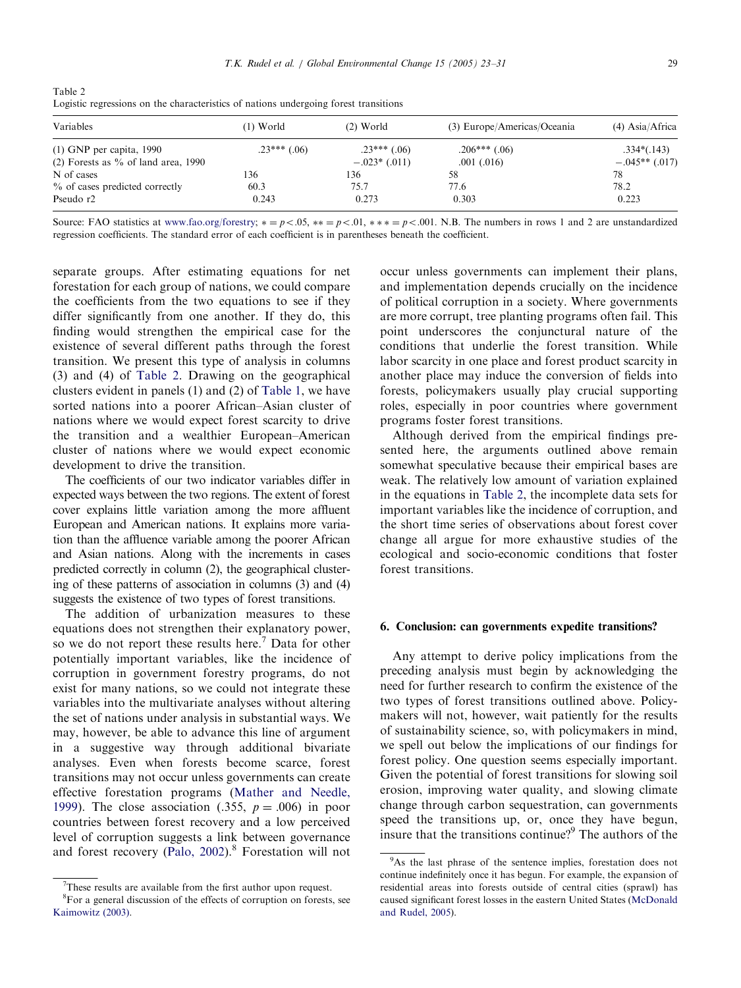<span id="page-6-0"></span>Table 2 Logistic regressions on the characteristics of nations undergoing forest transitions

| Variables                             | $(1)$ World    | $(2)$ World    | (3) Europe/Americas/Oceania | $(4)$ Asia/Africa |
|---------------------------------------|----------------|----------------|-----------------------------|-------------------|
| $(1)$ GNP per capita, 1990            | $.23***$ (.06) | $.23***$ (.06) | $.206***$ (.06)             | $.334*(.143)$     |
| $(2)$ Forests as % of land area, 1990 |                | $-.023*(.011)$ | $.001$ $(.016)$             | $-.045**(.017)$   |
| N of cases                            | 136            | 136            | 58                          | 78                |
| % of cases predicted correctly        | 60.3           | 75.7           | 77.6                        | 78.2              |
| Pseudo r2                             | 0.243          | 0.273          | 0.303                       | 0.223             |

Source: FAO statistics at [www.fao.org/forestry](http://www.fao.org/forestry);  $* = p < .05$ ,  $** = p < .01$ ,  $** = p < .001$ . N.B. The numbers in rows 1 and 2 are unstandardized regression coefficients. The standard error of each coefficient is in parentheses beneath the coefficient.

separate groups. After estimating equations for net forestation for each group of nations, we could compare the coefficients from the two equations to see if they differ significantly from one another. If they do, this finding would strengthen the empirical case for the existence of several different paths through the forest transition. We present this type of analysis in columns (3) and (4) of Table 2. Drawing on the geographical clusters evident in panels (1) and (2) of [Table 1](#page-4-0), we have sorted nations into a poorer African–Asian cluster of nations where we would expect forest scarcity to drive the transition and a wealthier European–American cluster of nations where we would expect economic development to drive the transition.

The coefficients of our two indicator variables differ in expected ways between the two regions. The extent of forest cover explains little variation among the more affluent European and American nations. It explains more variation than the affluence variable among the poorer African and Asian nations. Along with the increments in cases predicted correctly in column (2), the geographical clustering of these patterns of association in columns (3) and (4) suggests the existence of two types of forest transitions.

The addition of urbanization measures to these equations does not strengthen their explanatory power, so we do not report these results here.<sup>7</sup> Data for other potentially important variables, like the incidence of corruption in government forestry programs, do not exist for many nations, so we could not integrate these variables into the multivariate analyses without altering the set of nations under analysis in substantial ways. We may, however, be able to advance this line of argument in a suggestive way through additional bivariate analyses. Even when forests become scarce, forest transitions may not occur unless governments can create effective forestation programs [\(Mather and Needle,](#page-8-0) [1999](#page-8-0)). The close association (.355,  $p = .006$ ) in poor countries between forest recovery and a low perceived level of corruption suggests a link between governance and forest recovery (Palo,  $2002$ ).<sup>8</sup> Forestation will not

occur unless governments can implement their plans, and implementation depends crucially on the incidence of political corruption in a society. Where governments are more corrupt, tree planting programs often fail. This point underscores the conjunctural nature of the conditions that underlie the forest transition. While labor scarcity in one place and forest product scarcity in another place may induce the conversion of fields into forests, policymakers usually play crucial supporting roles, especially in poor countries where government programs foster forest transitions.

Although derived from the empirical findings presented here, the arguments outlined above remain somewhat speculative because their empirical bases are weak. The relatively low amount of variation explained in the equations in Table 2, the incomplete data sets for important variables like the incidence of corruption, and the short time series of observations about forest cover change all argue for more exhaustive studies of the ecological and socio-economic conditions that foster forest transitions.

# 6. Conclusion: can governments expedite transitions?

Any attempt to derive policy implications from the preceding analysis must begin by acknowledging the need for further research to confirm the existence of the two types of forest transitions outlined above. Policymakers will not, however, wait patiently for the results of sustainability science, so, with policymakers in mind, we spell out below the implications of our findings for forest policy. One question seems especially important. Given the potential of forest transitions for slowing soil erosion, improving water quality, and slowing climate change through carbon sequestration, can governments speed the transitions up, or, once they have begun, insure that the transitions continue?<sup>9</sup> The authors of the

 $7$ These results are available from the first author upon request.

<sup>&</sup>lt;sup>8</sup>For a general discussion of the effects of corruption on forests, see [Kaimowitz \(2003\).](#page-7-0)

<sup>&</sup>lt;sup>9</sup>As the last phrase of the sentence implies, forestation does not continue indefinitely once it has begun. For example, the expansion of residential areas into forests outside of central cities (sprawl) has caused significant forest losses in the eastern United States [\(McDonald](#page-8-0) [and Rudel, 2005](#page-8-0)).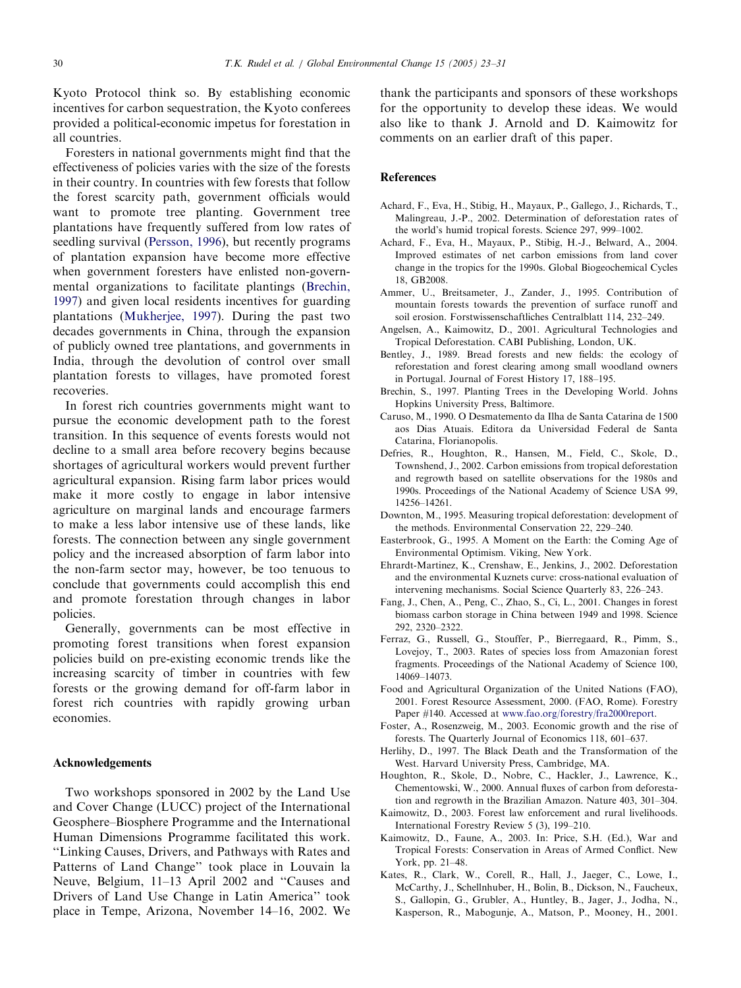<span id="page-7-0"></span>Kyoto Protocol think so. By establishing economic incentives for carbon sequestration, the Kyoto conferees provided a political-economic impetus for forestation in all countries.

Foresters in national governments might find that the effectiveness of policies varies with the size of the forests in their country. In countries with few forests that follow the forest scarcity path, government officials would want to promote tree planting. Government tree plantations have frequently suffered from low rates of seedling survival [\(Persson, 1996](#page-8-0)), but recently programs of plantation expansion have become more effective when government foresters have enlisted non-governmental organizations to facilitate plantings (Brechin, 1997) and given local residents incentives for guarding plantations ([Mukherjee, 1997](#page-8-0)). During the past two decades governments in China, through the expansion of publicly owned tree plantations, and governments in India, through the devolution of control over small plantation forests to villages, have promoted forest recoveries.

In forest rich countries governments might want to pursue the economic development path to the forest transition. In this sequence of events forests would not decline to a small area before recovery begins because shortages of agricultural workers would prevent further agricultural expansion. Rising farm labor prices would make it more costly to engage in labor intensive agriculture on marginal lands and encourage farmers to make a less labor intensive use of these lands, like forests. The connection between any single government policy and the increased absorption of farm labor into the non-farm sector may, however, be too tenuous to conclude that governments could accomplish this end and promote forestation through changes in labor policies.

Generally, governments can be most effective in promoting forest transitions when forest expansion policies build on pre-existing economic trends like the increasing scarcity of timber in countries with few forests or the growing demand for off-farm labor in forest rich countries with rapidly growing urban economies.

# Acknowledgements

Two workshops sponsored in 2002 by the Land Use and Cover Change (LUCC) project of the International Geosphere–Biosphere Programme and the International Human Dimensions Programme facilitated this work. ''Linking Causes, Drivers, and Pathways with Rates and Patterns of Land Change'' took place in Louvain la Neuve, Belgium, 11–13 April 2002 and ''Causes and Drivers of Land Use Change in Latin America'' took place in Tempe, Arizona, November 14–16, 2002. We

thank the participants and sponsors of these workshops for the opportunity to develop these ideas. We would also like to thank J. Arnold and D. Kaimowitz for comments on an earlier draft of this paper.

# References

- Achard, F., Eva, H., Stibig, H., Mayaux, P., Gallego, J., Richards, T., Malingreau, J.-P., 2002. Determination of deforestation rates of the world's humid tropical forests. Science 297, 999–1002.
- Achard, F., Eva, H., Mayaux, P., Stibig, H.-J., Belward, A., 2004. Improved estimates of net carbon emissions from land cover change in the tropics for the 1990s. Global Biogeochemical Cycles 18, GB2008.
- Ammer, U., Breitsameter, J., Zander, J., 1995. Contribution of mountain forests towards the prevention of surface runoff and soil erosion. Forstwissenschaftliches Centralblatt 114, 232–249.
- Angelsen, A., Kaimowitz, D., 2001. Agricultural Technologies and Tropical Deforestation. CABI Publishing, London, UK.
- Bentley, J., 1989. Bread forests and new fields: the ecology of reforestation and forest clearing among small woodland owners in Portugal. Journal of Forest History 17, 188–195.
- Brechin, S., 1997. Planting Trees in the Developing World. Johns Hopkins University Press, Baltimore.
- Caruso, M., 1990. O Desmatemento da Ilha de Santa Catarina de 1500 aos Dias Atuais. Editora da Universidad Federal de Santa Catarina, Florianopolis.
- Defries, R., Houghton, R., Hansen, M., Field, C., Skole, D., Townshend, J., 2002. Carbon emissions from tropical deforestation and regrowth based on satellite observations for the 1980s and 1990s. Proceedings of the National Academy of Science USA 99, 14256–14261.
- Downton, M., 1995. Measuring tropical deforestation: development of the methods. Environmental Conservation 22, 229–240.
- Easterbrook, G., 1995. A Moment on the Earth: the Coming Age of Environmental Optimism. Viking, New York.
- Ehrardt-Martinez, K., Crenshaw, E., Jenkins, J., 2002. Deforestation and the environmental Kuznets curve: cross-national evaluation of intervening mechanisms. Social Science Quarterly 83, 226–243.
- Fang, J., Chen, A., Peng, C., Zhao, S., Ci, L., 2001. Changes in forest biomass carbon storage in China between 1949 and 1998. Science 292, 2320–2322.
- Ferraz, G., Russell, G., Stouffer, P., Bierregaard, R., Pimm, S., Lovejoy, T., 2003. Rates of species loss from Amazonian forest fragments. Proceedings of the National Academy of Science 100, 14069–14073.
- Food and Agricultural Organization of the United Nations (FAO), 2001. Forest Resource Assessment, 2000. (FAO, Rome). Forestry Paper #140. Accessed at [www.fao.org/forestry/fra2000report.](http://www.fao.org/forestry/fra2000report)
- Foster, A., Rosenzweig, M., 2003. Economic growth and the rise of forests. The Quarterly Journal of Economics 118, 601–637.
- Herlihy, D., 1997. The Black Death and the Transformation of the West. Harvard University Press, Cambridge, MA.
- Houghton, R., Skole, D., Nobre, C., Hackler, J., Lawrence, K., Chementowski, W., 2000. Annual fluxes of carbon from deforestation and regrowth in the Brazilian Amazon. Nature 403, 301–304.
- Kaimowitz, D., 2003. Forest law enforcement and rural livelihoods. International Forestry Review 5 (3), 199–210.
- Kaimowitz, D., Faune, A., 2003. In: Price, S.H. (Ed.), War and Tropical Forests: Conservation in Areas of Armed Conflict. New York, pp. 21–48.
- Kates, R., Clark, W., Corell, R., Hall, J., Jaeger, C., Lowe, I., McCarthy, J., Schellnhuber, H., Bolin, B., Dickson, N., Faucheux, S., Gallopin, G., Grubler, A., Huntley, B., Jager, J., Jodha, N., Kasperson, R., Mabogunje, A., Matson, P., Mooney, H., 2001.